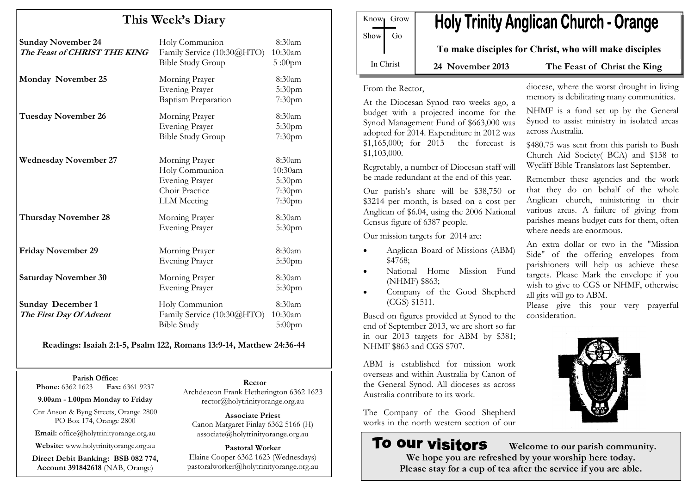# This Week's Diary

| <b>Sunday November 24</b><br>The Feast of CHRIST THE KING | Holy Communion<br>Family Service (10:30@HTO)<br><b>Bible Study Group</b>                          | 8:30am<br>10:30am<br>$5:00$ pm                  |
|-----------------------------------------------------------|---------------------------------------------------------------------------------------------------|-------------------------------------------------|
| Monday November 25                                        | Morning Prayer<br>Evening Prayer<br><b>Baptism Preparation</b>                                    | 8:30am<br>5:30pm<br>7:30pm                      |
| <b>Tuesday November 26</b>                                | Morning Prayer<br><b>Evening Prayer</b><br><b>Bible Study Group</b>                               | 8:30am<br>5:30pm<br>7:30 <sub>pm</sub>          |
| <b>Wednesday November 27</b>                              | Morning Prayer<br>Holy Communion<br><b>Evening Prayer</b><br>Choir Practice<br><b>LLM</b> Meeting | 8:30am<br>10:30am<br>5:30pm<br>7:30pm<br>7:30pm |
| Thursday November 28                                      | Morning Prayer<br><b>Evening Prayer</b>                                                           | 8:30am<br>5:30pm                                |
| <b>Friday November 29</b>                                 | Morning Prayer<br><b>Evening Prayer</b>                                                           | 8:30am<br>5:30 <sub>pm</sub>                    |
| <b>Saturday November 30</b>                               | Morning Prayer<br><b>Evening Prayer</b>                                                           | 8:30am<br>5:30pm                                |
| <b>Sunday December 1</b><br>The First Day Of Advent       | Holy Communion<br>Family Service (10:30@HTO)<br><b>Bible Study</b>                                | 8:30am<br>10:30am<br>$5:00$ pm                  |

Readings: Isaiah 2:1-5, Psalm 122, Romans 13:9-14, Matthew 24:36-44

Parish Office: **Phone:** 6362 1623 **Fax:** 6361 9237

9.00am - 1.00pm Monday to Friday

Cnr Anson & Byng Streets, Orange 2800 PO Box 174, Orange 2800

Email: office@holytrinityorange.org.au

Website: www.holytrinityorange.org.au

Direct Debit Banking: BSB 082 774, Account 391842618 (NAB, Orange)

Rector

 Archdeacon Frank Hetherington 6362 1623 rector@holytrinityorange.org.au

Associate Priest Canon Margaret Finlay 6362 5166 (H) associate@holytrinityorange.org.au

Pastoral Worker Elaine Cooper 6362 1623 (Wednesdays) pastoralworker@holytrinityorange.org.au

| Know <sub>l</sub> Grow |    | HOI' |
|------------------------|----|------|
| Show <sup>1</sup>      | Go |      |
|                        |    | To n |
| In Christ              |    |      |

# y Trinity Anglican Church - Orange

nake disciples for Christ, who will make disciples

ovember 2013 The Feast of Christ the King

From the Rector,

At the Diocesan Synod two weeks ago, a budget with a projected income for the Synod Management Fund of \$663,000 was adopted for 2014. Expenditure in 2012 was \$1,165,000; for 2013 the forecast is \$1,103,000.

Regretably, a number of Diocesan staff will be made redundant at the end of this year.

Our parish's share will be \$38,750 or \$3214 per month, is based on a cost per Anglican of \$6.04, using the 2006 National Census figure of 6387 people.

Our mission targets for 2014 are:

- Anglican Board of Missions (ABM) \$4768;
- National Home Mission Fund (NHMF) \$863;
- Company of the Good Shepherd (CGS) \$1511.

Based on figures provided at Synod to the end of September 2013, we are short so far in our 2013 targets for ABM by \$381; NHMF \$863 and CGS \$707.

ABM is established for mission work overseas and within Australia by Canon of the General Synod. All dioceses as across Australia contribute to its work.

The Company of the Good Shepherd works in the north western section of our

# **To our visitors**

diocese, where the worst drought in living memory is debilitating many communities.

NHMF is a fund set up by the General Synod to assist ministry in isolated areas across Australia.

\$480.75 was sent from this parish to Bush Church Aid Society( BCA) and \$138 to Wycliff Bible Translators last September.

Remember these agencies and the work that they do on behalf of the whole Anglican church, ministering in their various areas. A failure of giving from parishes means budget cuts for them, often where needs are enormous.

An extra dollar or two in the "Mission Side" of the offering envelopes from parishioners will help us achieve these targets. Please Mark the envelope if you wish to give to CGS or NHMF, otherwise all gits will go to ABM.

Please give this your very prayerful consideration.



 Welcome to our parish community. We hope you are refreshed by your worship here today. Please stay for a cup of tea after the service if you are able.